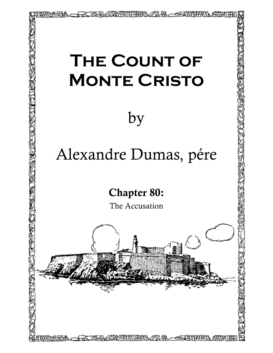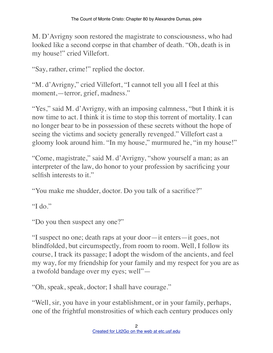M. D'Avrigny soon restored the magistrate to consciousness, who had looked like a second corpse in that chamber of death. "Oh, death is in my house!" cried Villefort.

"Say, rather, crime!" replied the doctor.

"M. d'Avrigny," cried Villefort, "I cannot tell you all I feel at this moment,—terror, grief, madness."

"Yes," said M. d'Avrigny, with an imposing calmness, "but I think it is now time to act. I think it is time to stop this torrent of mortality. I can no longer bear to be in possession of these secrets without the hope of seeing the victims and society generally revenged." Villefort cast a gloomy look around him. "In my house," murmured he, "in my house!"

"Come, magistrate," said M. d'Avrigny, "show yourself a man; as an interpreter of the law, do honor to your profession by sacrificing your selfish interests to it."

"You make me shudder, doctor. Do you talk of a sacrifice?"

"I do."

"Do you then suspect any one?"

"I suspect no one; death raps at your door—it enters—it goes, not blindfolded, but circumspectly, from room to room. Well, I follow its course, I track its passage; I adopt the wisdom of the ancients, and feel my way, for my friendship for your family and my respect for you are as a twofold bandage over my eyes; well"—

"Oh, speak, speak, doctor; I shall have courage."

"Well, sir, you have in your establishment, or in your family, perhaps, one of the frightful monstrosities of which each century produces only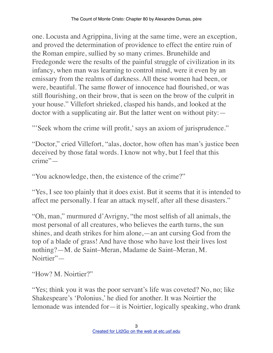one. Locusta and Agrippina, living at the same time, were an exception, and proved the determination of providence to effect the entire ruin of the Roman empire, sullied by so many crimes. Brunehilde and Fredegonde were the results of the painful struggle of civilization in its infancy, when man was learning to control mind, were it even by an emissary from the realms of darkness. All these women had been, or were, beautiful. The same flower of innocence had flourished, or was still flourishing, on their brow, that is seen on the brow of the culprit in your house." Villefort shrieked, clasped his hands, and looked at the doctor with a supplicating air. But the latter went on without pity:—

"'Seek whom the crime will profit,' says an axiom of jurisprudence."

"Doctor," cried Villefort, "alas, doctor, how often has man's justice been deceived by those fatal words. I know not why, but I feel that this crime"—

"You acknowledge, then, the existence of the crime?"

"Yes, I see too plainly that it does exist. But it seems that it is intended to affect me personally. I fear an attack myself, after all these disasters."

"Oh, man," murmured d'Avrigny, "the most selfish of all animals, the most personal of all creatures, who believes the earth turns, the sun shines, and death strikes for him alone,—an ant cursing God from the top of a blade of grass! And have those who have lost their lives lost nothing?—M. de Saint–Meran, Madame de Saint–Meran, M. Noirtier"—

"How? M. Noirtier?"

"Yes; think you it was the poor servant's life was coveted? No, no; like Shakespeare's 'Polonius,' he died for another. It was Noirtier the lemonade was intended for—it is Noirtier, logically speaking, who drank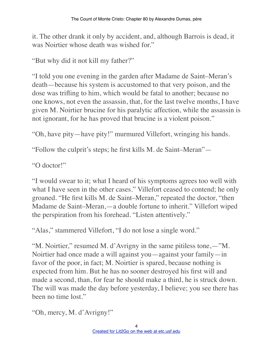it. The other drank it only by accident, and, although Barrois is dead, it was Noirtier whose death was wished for."

"But why did it not kill my father?"

"I told you one evening in the garden after Madame de Saint–Meran's death—because his system is accustomed to that very poison, and the dose was trifling to him, which would be fatal to another; because no one knows, not even the assassin, that, for the last twelve months, I have given M. Noirtier brucine for his paralytic affection, while the assassin is not ignorant, for he has proved that brucine is a violent poison."

"Oh, have pity—have pity!" murmured Villefort, wringing his hands.

"Follow the culprit's steps; he first kills M. de Saint–Meran"—

"O doctor!"

"I would swear to it; what I heard of his symptoms agrees too well with what I have seen in the other cases." Villefort ceased to contend; he only groaned. "He first kills M. de Saint–Meran," repeated the doctor, "then Madame de Saint–Meran,—a double fortune to inherit." Villefort wiped the perspiration from his forehead. "Listen attentively."

"Alas," stammered Villefort, "I do not lose a single word."

"M. Noirtier," resumed M. d'Avrigny in the same pitiless tone,—"M. Noirtier had once made a will against you—against your family—in favor of the poor, in fact; M. Noirtier is spared, because nothing is expected from him. But he has no sooner destroyed his first will and made a second, than, for fear he should make a third, he is struck down. The will was made the day before yesterday, I believe; you see there has been no time lost."

"Oh, mercy, M. d'Avrigny!"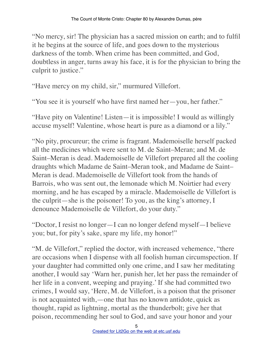"No mercy, sir! The physician has a sacred mission on earth; and to fulfil it he begins at the source of life, and goes down to the mysterious darkness of the tomb. When crime has been committed, and God, doubtless in anger, turns away his face, it is for the physician to bring the culprit to justice."

"Have mercy on my child, sir," murmured Villefort.

"You see it is yourself who have first named her—you, her father."

"Have pity on Valentine! Listen—it is impossible! I would as willingly accuse myself! Valentine, whose heart is pure as a diamond or a lily."

"No pity, procureur; the crime is fragrant. Mademoiselle herself packed all the medicines which were sent to M. de Saint–Meran; and M. de Saint–Meran is dead. Mademoiselle de Villefort prepared all the cooling draughts which Madame de Saint–Meran took, and Madame de Saint– Meran is dead. Mademoiselle de Villefort took from the hands of Barrois, who was sent out, the lemonade which M. Noirtier had every morning, and he has escaped by a miracle. Mademoiselle de Villefort is the culprit—she is the poisoner! To you, as the king's attorney, I denounce Mademoiselle de Villefort, do your duty."

"Doctor, I resist no longer—I can no longer defend myself—I believe you; but, for pity's sake, spare my life, my honor!"

"M. de Villefort," replied the doctor, with increased vehemence, "there are occasions when I dispense with all foolish human circumspection. If your daughter had committed only one crime, and I saw her meditating another, I would say 'Warn her, punish her, let her pass the remainder of her life in a convent, weeping and praying.' If she had committed two crimes, I would say, 'Here, M. de Villefort, is a poison that the prisoner is not acquainted with,—one that has no known antidote, quick as thought, rapid as lightning, mortal as the thunderbolt; give her that poison, recommending her soul to God, and save your honor and your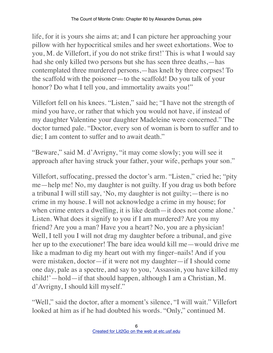life, for it is yours she aims at; and I can picture her approaching your pillow with her hypocritical smiles and her sweet exhortations. Woe to you, M. de Villefort, if you do not strike first!' This is what I would say had she only killed two persons but she has seen three deaths,—has contemplated three murdered persons,—has knelt by three corpses! To the scaffold with the poisoner—to the scaffold! Do you talk of your honor? Do what I tell you, and immortality awaits you!"

Villefort fell on his knees. "Listen," said he; "I have not the strength of mind you have, or rather that which you would not have, if instead of my daughter Valentine your daughter Madeleine were concerned." The doctor turned pale. "Doctor, every son of woman is born to suffer and to die; I am content to suffer and to await death."

"Beware," said M. d'Avrigny, "it may come slowly; you will see it approach after having struck your father, your wife, perhaps your son."

Villefort, suffocating, pressed the doctor's arm. "Listen," cried he; "pity me—help me! No, my daughter is not guilty. If you drag us both before a tribunal I will still say, 'No, my daughter is not guilty;—there is no crime in my house. I will not acknowledge a crime in my house; for when crime enters a dwelling, it is like death—it does not come alone.' Listen. What does it signify to you if I am murdered? Are you my friend? Are you a man? Have you a heart? No, you are a physician! Well, I tell you I will not drag my daughter before a tribunal, and give her up to the executioner! The bare idea would kill me—would drive me like a madman to dig my heart out with my finger–nails! And if you were mistaken, doctor—if it were not my daughter—if I should come one day, pale as a spectre, and say to you, 'Assassin, you have killed my child!'—hold—if that should happen, although I am a Christian, M. d'Avrigny, I should kill myself."

"Well," said the doctor, after a moment's silence, "I will wait." Villefort looked at him as if he had doubted his words. "Only," continued M.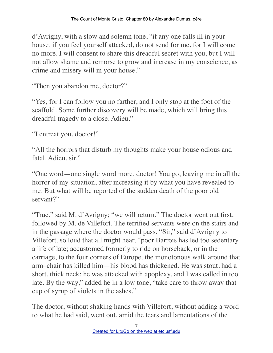d'Avrigny, with a slow and solemn tone, "if any one falls ill in your house, if you feel yourself attacked, do not send for me, for I will come no more. I will consent to share this dreadful secret with you, but I will not allow shame and remorse to grow and increase in my conscience, as crime and misery will in your house."

"Then you abandon me, doctor?"

"Yes, for I can follow you no farther, and I only stop at the foot of the scaffold. Some further discovery will be made, which will bring this dreadful tragedy to a close. Adieu."

"I entreat you, doctor!"

"All the horrors that disturb my thoughts make your house odious and fatal. Adieu, sir."

"One word—one single word more, doctor! You go, leaving me in all the horror of my situation, after increasing it by what you have revealed to me. But what will be reported of the sudden death of the poor old servant?"

"True," said M. d'Avrigny; "we will return." The doctor went out first, followed by M. de Villefort. The terrified servants were on the stairs and in the passage where the doctor would pass. "Sir," said d'Avrigny to Villefort, so loud that all might hear, "poor Barrois has led too sedentary a life of late; accustomed formerly to ride on horseback, or in the carriage, to the four corners of Europe, the monotonous walk around that arm–chair has killed him—his blood has thickened. He was stout, had a short, thick neck; he was attacked with apoplexy, and I was called in too late. By the way," added he in a low tone, "take care to throw away that cup of syrup of violets in the ashes."

The doctor, without shaking hands with Villefort, without adding a word to what he had said, went out, amid the tears and lamentations of the